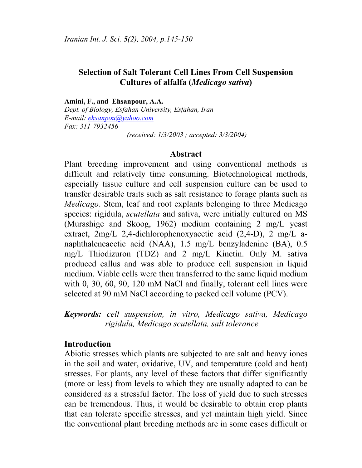# **Selection of Salt Tolerant Cell Lines From Cell Suspension Cultures of alfalfa (***Medicago sativa***)**

**Amini, F., and Ehsanpour, A.A.** 

*Dept. of Biology, Esfahan University, Esfahan, Iran E-mail: ehsanpou@yahoo.com Fax: 311-7932456* 

 *(received: 1/3/2003 ; accepted: 3/3/2004)* 

#### **Abstract**

Plant breeding improvement and using conventional methods is difficult and relatively time consuming. Biotechnological methods, especially tissue culture and cell suspension culture can be used to transfer desirable traits such as salt resistance to forage plants such as *Medicago*. Stem, leaf and root explants belonging to three Medicago species: rigidula, *scutellata* and sativa, were initially cultured on MS (Murashige and Skoog, 1962) medium containing 2 mg/L yeast extract, 2mg/L 2,4-dichlorophenoxyacetic acid (2,4-D), 2 mg/L anaphthaleneacetic acid (NAA), 1.5 mg/L benzyladenine (BA), 0.5 mg/L Thiodizuron (TDZ) and 2 mg/L Kinetin. Only M. sativa produced callus and was able to produce cell suspension in liquid medium. Viable cells were then transferred to the same liquid medium with 0, 30, 60, 90, 120 mM NaCl and finally, tolerant cell lines were selected at 90 mM NaCl according to packed cell volume (PCV).

*Keywords: cell suspension, in vitro, Medicago sativa, Medicago rigidula, Medicago scutellata, salt tolerance.* 

#### **Introduction**

Abiotic stresses which plants are subjected to are salt and heavy iones in the soil and water, oxidative, UV, and temperature (cold and heat) stresses. For plants, any level of these factors that differ significantly (more or less) from levels to which they are usually adapted to can be considered as a stressful factor. The loss of yield due to such stresses can be tremendous. Thus, it would be desirable to obtain crop plants that can tolerate specific stresses, and yet maintain high yield. Since the conventional plant breeding methods are in some cases difficult or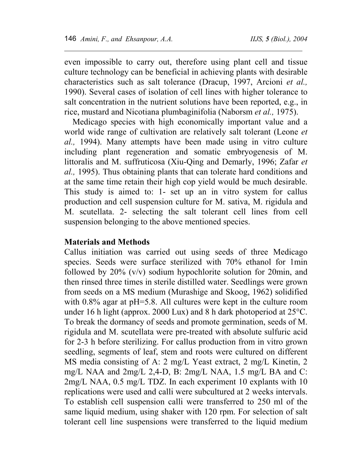$\overline{a}$ 

even impossible to carry out, therefore using plant cell and tissue culture technology can be beneficial in achieving plants with desirable characteristics such as salt tolerance (Dracup, 1997, Arcioni *et al.,* 1990). Several cases of isolation of cell lines with higher tolerance to salt concentration in the nutrient solutions have been reported, e.g., in rice, mustard and Nicotiana plumbaginifolia (Naborsm *et al.,* 1975).

Medicago species with high economically important value and a world wide range of cultivation are relatively salt tolerant (Leone *et al.,* 1994). Many attempts have been made using in vitro culture including plant regeneration and somatic embryogenesis of M. littoralis and M. suffruticosa (Xiu-Qing and Demarly, 1996; Zafar *et al.,* 1995). Thus obtaining plants that can tolerate hard conditions and at the same time retain their high cop yield would be much desirable. This study is aimed to: 1- set up an in vitro system for callus production and cell suspension culture for M. sativa, M. rigidula and M. scutellata. 2- selecting the salt tolerant cell lines from cell suspension belonging to the above mentioned species.

### **Materials and Methods**

Callus initiation was carried out using seeds of three Medicago species. Seeds were surface sterilized with 70% ethanol for 1min followed by 20% (v/v) sodium hypochlorite solution for 20min, and then rinsed three times in sterile distilled water. Seedlings were grown from seeds on a MS medium (Murashige and Skoog, 1962) solidified with 0.8% agar at pH=5.8. All cultures were kept in the culture room under 16 h light (approx. 2000 Lux) and 8 h dark photoperiod at 25°C. To break the dormancy of seeds and promote germination, seeds of M. rigidula and M. scutellata were pre-treated with absolute sulfuric acid for 2-3 h before sterilizing. For callus production from in vitro grown seedling, segments of leaf, stem and roots were cultured on different MS media consisting of A: 2 mg/L Yeast extract, 2 mg/L Kinetin, 2 mg/L NAA and 2mg/L 2,4-D, B: 2mg/L NAA, 1.5 mg/L BA and C: 2mg/L NAA, 0.5 mg/L TDZ. In each experiment 10 explants with 10 replications were used and calli were subcultured at 2 weeks intervals. To establish cell suspension calli were transferred to 250 ml of the same liquid medium, using shaker with 120 rpm. For selection of salt tolerant cell line suspensions were transferred to the liquid medium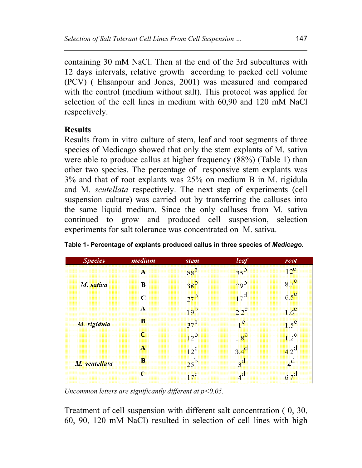containing 30 mM NaCl. Then at the end of the 3rd subcultures with 12 days intervals, relative growth according to packed cell volume (PCV) ( Ehsanpour and Jones, 2001) was measured and compared with the control (medium without salt). This protocol was applied for selection of the cell lines in medium with 60,90 and 120 mM NaCl respectively.

# **Results**

Results from in vitro culture of stem, leaf and root segments of three species of Medicago showed that only the stem explants of M. sativa were able to produce callus at higher frequency (88%) (Table 1) than other two species. The percentage of responsive stem explants was 3% and that of root explants was 25% on medium B in M. rigidula and M. *scutellata* respectively. The next step of experiments (cell suspension culture) was carried out by transferring the calluses into the same liquid medium. Since the only calluses from M. sativa continued to grow and produced cell suspension, selection experiments for salt tolerance was concentrated on M. sativa.

| <b>Species</b> | medium      | <i>stem</i>     | leaf                                   | root          |
|----------------|-------------|-----------------|----------------------------------------|---------------|
| M. sativa      | A           | 88 <sup>a</sup> | $35^{\circ}$                           | $12^e$        |
|                | в           | 38 <sup>b</sup> | 20 <sup>b</sup>                        | $8.7^\circ$   |
|                | $\mathbf C$ | $27^{\rm b}$    | $17^{\rm d}$                           | $6.5^\circ$   |
| M. rigidula    | A           | 19 <sup>b</sup> | $2.2^{\circ}$                          | $1.6^\circ$   |
|                | в           | 37 <sup>3</sup> | $\overline{\phantom{a}}^{\phantom{a}}$ | $1.5^\circ$   |
|                | C           | 12 <sup>b</sup> | $18^{\circ}$                           | $1.2^{\circ}$ |
| M. scutellata  | Æ           | $12^{\circ}$    | $3.4^{\rm d}$                          | $42^d$        |
|                | В           | 25 <sup>b</sup> | $3^d$                                  | $4^d$         |
|                | c           | $12^{\circ}$    | $_4$ d                                 | $67^{\rm d}$  |

**Table 1- Percentage of explants produced callus in three species of** *Medicago***.** 

*Uncommon letters are significantly different at p<0.05.* 

Treatment of cell suspension with different salt concentration ( 0, 30, 60, 90, 120 mM NaCl) resulted in selection of cell lines with high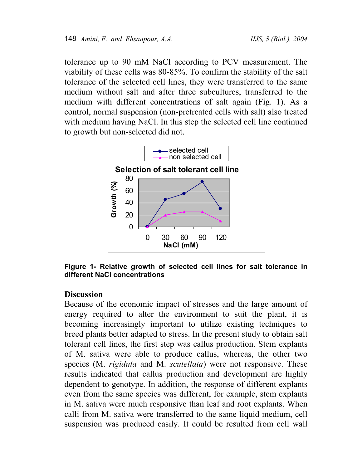$\overline{a}$ 

tolerance up to 90 mM NaCl according to PCV measurement. The viability of these cells was 80-85%. To confirm the stability of the salt tolerance of the selected cell lines, they were transferred to the same medium without salt and after three subcultures, transferred to the medium with different concentrations of salt again (Fig. 1). As a control, normal suspension (non-pretreated cells with salt) also treated with medium having NaCl. In this step the selected cell line continued to growth but non-selected did not.



**Figure 1- Relative growth of selected cell lines for salt tolerance in different NaCl concentrations** 

# **Discussion**

Because of the economic impact of stresses and the large amount of energy required to alter the environment to suit the plant, it is becoming increasingly important to utilize existing techniques to breed plants better adapted to stress. In the present study to obtain salt tolerant cell lines, the first step was callus production. Stem explants of M. sativa were able to produce callus, whereas, the other two species (M. *rigidula* and M. *scutellata*) were not responsive. These results indicated that callus production and development are highly dependent to genotype. In addition, the response of different explants even from the same species was different, for example, stem explants in M. sativa were much responsive than leaf and root explants. When calli from M. sativa were transferred to the same liquid medium, cell suspension was produced easily. It could be resulted from cell wall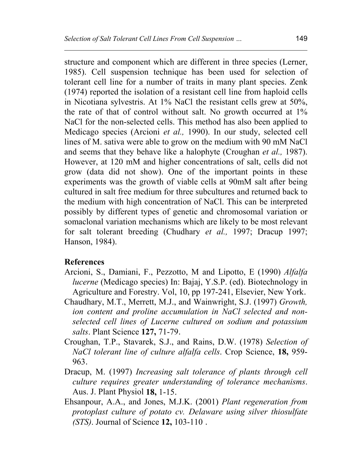structure and component which are different in three species (Lerner, 1985). Cell suspension technique has been used for selection of tolerant cell line for a number of traits in many plant species. Zenk (1974) reported the isolation of a resistant cell line from haploid cells in Nicotiana sylvestris. At 1% NaCl the resistant cells grew at 50%, the rate of that of control without salt. No growth occurred at 1% NaCl for the non-selected cells. This method has also been applied to Medicago species (Arcioni *et al.,* 1990). In our study, selected cell lines of M. sativa were able to grow on the medium with 90 mM NaCl and seems that they behave like a halophyte (Croughan *et al.,* 1987). However, at 120 mM and higher concentrations of salt, cells did not grow (data did not show). One of the important points in these experiments was the growth of viable cells at 90mM salt after being cultured in salt free medium for three subcultures and returned back to the medium with high concentration of NaCl. This can be interpreted possibly by different types of genetic and chromosomal variation or somaclonal variation mechanisms which are likely to be most relevant for salt tolerant breeding (Chudhary *et al.,* 1997; Dracup 1997; Hanson, 1984).

### **References**

- Arcioni, S., Damiani, F., Pezzotto, M and Lipotto, E (1990) *Alfalfa lucerne* (Medicago species) In: Bajaj, Y.S.P. (ed). Biotechnology in Agriculture and Forestry. Vol, 10, pp 197-241, Elsevier, New York.
- Chaudhary, M.T., Merrett, M.J., and Wainwright, S.J. (1997) *Growth, ion content and proline accumulation in NaCl selected and nonselected cell lines of Lucerne cultured on sodium and potassium salts*. Plant Science **127,** 71-79.
- Croughan, T.P., Stavarek, S.J., and Rains, D.W. (1978) *Selection of NaCl tolerant line of culture alfalfa cells*. Crop Science, **18,** 959- 963.
- Dracup, M. (1997) *Increasing salt tolerance of plants through cell culture requires greater understanding of tolerance mechanisms*. Aus. J. Plant Physiol **18,** 1-15.
- Ehsanpour, A.A., and Jones, M.J.K. (2001) *Plant regeneration from protoplast culture of potato cv. Delaware using silver thiosulfate (STS)*. Journal of Science **12,** 103-110 .